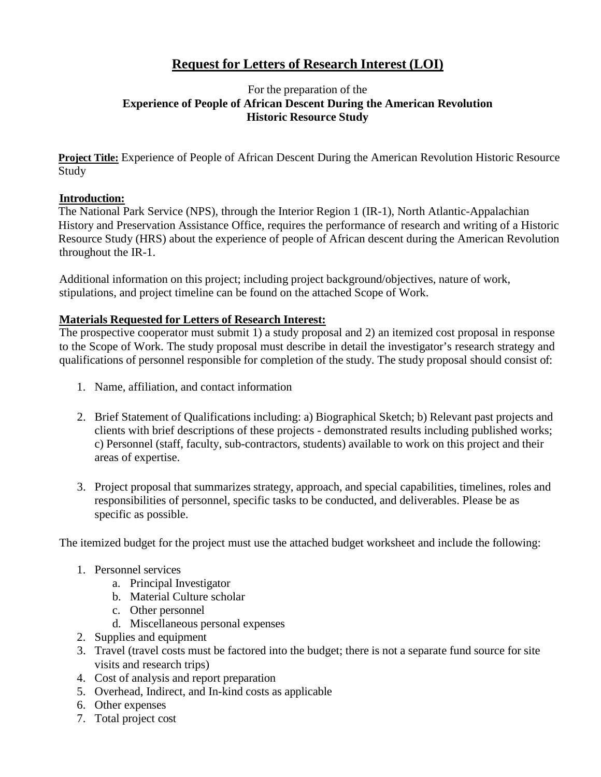# **Request for Letters of Research Interest (LOI)**

#### For the preparation of the **Experience of People of African Descent During the American Revolution Historic Resource Study**

**Project Title:** Experience of People of African Descent During the American Revolution Historic Resource Study

#### **Introduction:**

The National Park Service (NPS), through the Interior Region 1 (IR-1), North Atlantic-Appalachian History and Preservation Assistance Office, requires the performance of research and writing of a Historic Resource Study (HRS) about the experience of people of African descent during the American Revolution throughout the IR-1.

Additional information on this project; including project background/objectives, nature of work, stipulations, and project timeline can be found on the attached Scope of Work.

#### **Materials Requested for Letters of Research Interest:**

The prospective cooperator must submit 1) a study proposal and 2) an itemized cost proposal in response to the Scope of Work. The study proposal must describe in detail the investigator's research strategy and qualifications of personnel responsible for completion of the study. The study proposal should consist of:

- 1. Name, affiliation, and contact information
- 2. Brief Statement of Qualifications including: a) Biographical Sketch; b) Relevant past projects and clients with brief descriptions of these projects - demonstrated results including published works; c) Personnel (staff, faculty, sub-contractors, students) available to work on this project and their areas of expertise.
- 3. Project proposal that summarizes strategy, approach, and special capabilities, timelines, roles and responsibilities of personnel, specific tasks to be conducted, and deliverables. Please be as specific as possible.

The itemized budget for the project must use the attached budget worksheet and include the following:

- 1. Personnel services
	- a. Principal Investigator
	- b. Material Culture scholar
	- c. Other personnel
	- d. Miscellaneous personal expenses
- 2. Supplies and equipment
- 3. Travel (travel costs must be factored into the budget; there is not a separate fund source for site visits and research trips)
- 4. Cost of analysis and report preparation
- 5. Overhead, Indirect, and In-kind costs as applicable
- 6. Other expenses
- 7. Total project cost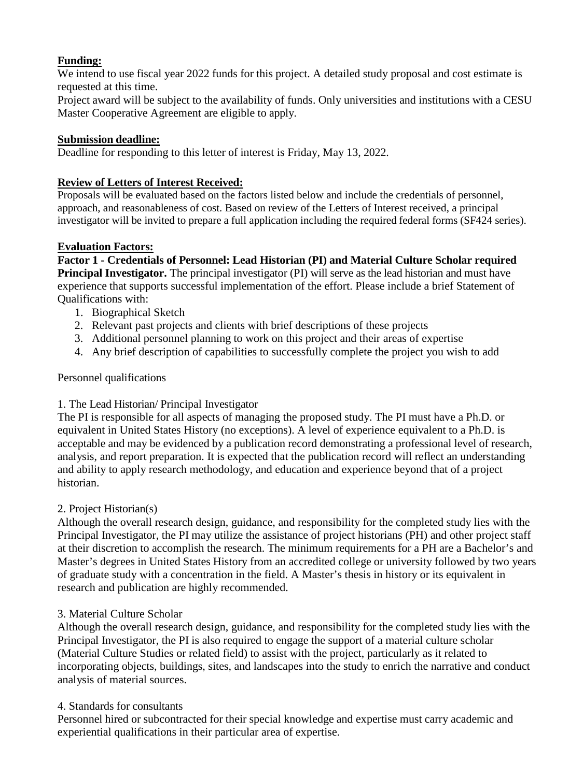# **Funding:**

We intend to use fiscal year 2022 funds for this project. A detailed study proposal and cost estimate is requested at this time.

Project award will be subject to the availability of funds. Only universities and institutions with a CESU Master Cooperative Agreement are eligible to apply.

## **Submission deadline:**

Deadline for responding to this letter of interest is Friday, May 13, 2022.

# **Review of Letters of Interest Received:**

Proposals will be evaluated based on the factors listed below and include the credentials of personnel, approach, and reasonableness of cost. Based on review of the Letters of Interest received, a principal investigator will be invited to prepare a full application including the required federal forms (SF424 series).

## **Evaluation Factors:**

**Factor 1 - Credentials of Personnel: Lead Historian (PI) and Material Culture Scholar required Principal Investigator.** The principal investigator (PI) will serve as the lead historian and must have experience that supports successful implementation of the effort. Please include a brief Statement of Qualifications with:

- 1. Biographical Sketch
- 2. Relevant past projects and clients with brief descriptions of these projects
- 3. Additional personnel planning to work on this project and their areas of expertise
- 4. Any brief description of capabilities to successfully complete the project you wish to add

#### Personnel qualifications

# 1. The Lead Historian/ Principal Investigator

The PI is responsible for all aspects of managing the proposed study. The PI must have a Ph.D. or equivalent in United States History (no exceptions). A level of experience equivalent to a Ph.D. is acceptable and may be evidenced by a publication record demonstrating a professional level of research, analysis, and report preparation. It is expected that the publication record will reflect an understanding and ability to apply research methodology, and education and experience beyond that of a project historian.

#### 2. Project Historian(s)

Although the overall research design, guidance, and responsibility for the completed study lies with the Principal Investigator, the PI may utilize the assistance of project historians (PH) and other project staff at their discretion to accomplish the research. The minimum requirements for a PH are a Bachelor's and Master's degrees in United States History from an accredited college or university followed by two years of graduate study with a concentration in the field. A Master's thesis in history or its equivalent in research and publication are highly recommended.

#### 3. Material Culture Scholar

Although the overall research design, guidance, and responsibility for the completed study lies with the Principal Investigator, the PI is also required to engage the support of a material culture scholar (Material Culture Studies or related field) to assist with the project, particularly as it related to incorporating objects, buildings, sites, and landscapes into the study to enrich the narrative and conduct analysis of material sources.

#### 4. Standards for consultants

Personnel hired or subcontracted for their special knowledge and expertise must carry academic and experiential qualifications in their particular area of expertise.